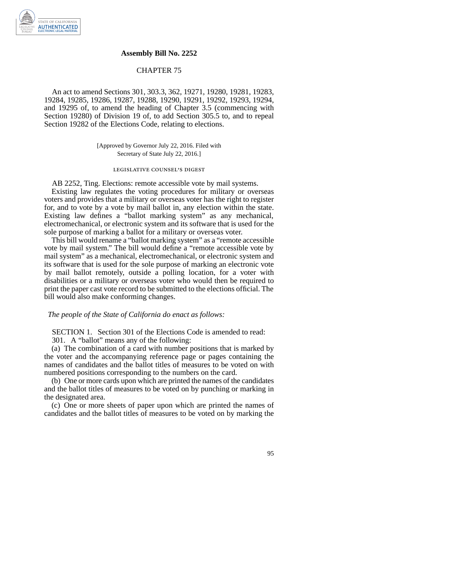

## **Assembly Bill No. 2252**

## CHAPTER 75

An act to amend Sections 301, 303.3, 362, 19271, 19280, 19281, 19283, 19284, 19285, 19286, 19287, 19288, 19290, 19291, 19292, 19293, 19294, and 19295 of, to amend the heading of Chapter 3.5 (commencing with Section 19280) of Division 19 of, to add Section 305.5 to, and to repeal Section 19282 of the Elections Code, relating to elections.

> [Approved by Governor July 22, 2016. Filed with Secretary of State July 22, 2016.]

## legislative counsel' s digest

AB 2252, Ting. Elections: remote accessible vote by mail systems. Existing law regulates the voting procedures for military or overseas voters and provides that a military or overseas voter has the right to register for, and to vote by a vote by mail ballot in, any election within the state. Existing law defines a "ballot marking system" as any mechanical, electromechanical, or electronic system and its software that is used for the sole purpose of marking a ballot for a military or overseas voter.

This bill would rename a "ballot marking system" as a "remote accessible vote by mail system." The bill would define a "remote accessible vote by mail system" as a mechanical, electromechanical, or electronic system and its software that is used for the sole purpose of marking an electronic vote by mail ballot remotely, outside a polling location, for a voter with disabilities or a military or overseas voter who would then be required to print the paper cast vote record to be submitted to the elections official. The bill would also make conforming changes.

## *The people of the State of California do enact as follows:*

SECTION 1. Section 301 of the Elections Code is amended to read:

301. A "ballot" means any of the following:

(a) The combination of a card with number positions that is marked by the voter and the accompanying reference page or pages containing the names of candidates and the ballot titles of measures to be voted on with numbered positions corresponding to the numbers on the card.

(b) One or more cards upon which are printed the names of the candidates and the ballot titles of measures to be voted on by punching or marking in the designated area.

(c) One or more sheets of paper upon which are printed the names of candidates and the ballot titles of measures to be voted on by marking the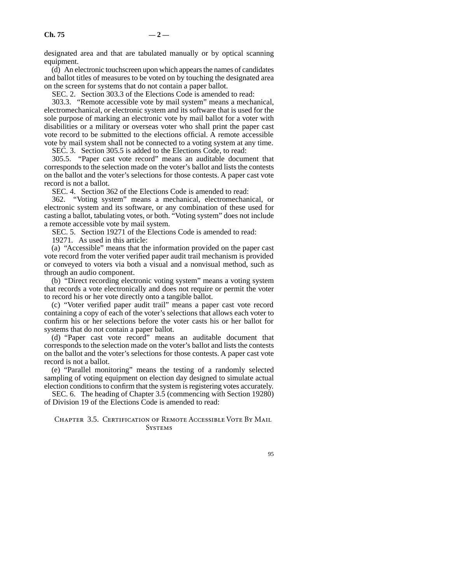designated area and that are tabulated manually or by optical scanning equipment.

(d) An electronic touchscreen upon which appears the names of candidates and ballot titles of measures to be voted on by touching the designated area on the screen for systems that do not contain a paper ballot.

SEC. 2. Section 303.3 of the Elections Code is amended to read:

303.3. "Remote accessible vote by mail system" means a mechanical, electromechanical, or electronic system and its software that is used for the sole purpose of marking an electronic vote by mail ballot for a voter with disabilities or a military or overseas voter who shall print the paper cast vote record to be submitted to the elections official. A remote accessible vote by mail system shall not be connected to a voting system at any time.

SEC. 3. Section 305.5 is added to the Elections Code, to read:

305.5. "Paper cast vote record" means an auditable document that corresponds to the selection made on the voter's ballot and lists the contests on the ballot and the voter's selections for those contests. A paper cast vote record is not a ballot.

SEC. 4. Section 362 of the Elections Code is amended to read:

362. "Voting system" means a mechanical, electromechanical, or electronic system and its software, or any combination of these used for casting a ballot, tabulating votes, or both. "Voting system" does not include a remote accessible vote by mail system.

SEC. 5. Section 19271 of the Elections Code is amended to read:

19271. As used in this article:

(a) "Accessible" means that the information provided on the paper cast vote record from the voter verified paper audit trail mechanism is provided or conveyed to voters via both a visual and a nonvisual method, such as through an audio component.

(b) "Direct recording electronic voting system" means a voting system that records a vote electronically and does not require or permit the voter to record his or her vote directly onto a tangible ballot.

(c) "Voter verified paper audit trail" means a paper cast vote record containing a copy of each of the voter's selections that allows each voter to confirm his or her selections before the voter casts his or her ballot for systems that do not contain a paper ballot.

(d) "Paper cast vote record" means an auditable document that corresponds to the selection made on the voter's ballot and lists the contests on the ballot and the voter's selections for those contests. A paper cast vote record is not a ballot.

(e) "Parallel monitoring" means the testing of a randomly selected sampling of voting equipment on election day designed to simulate actual election conditions to confirm that the system is registering votes accurately.

SEC. 6. The heading of Chapter 3.5 (commencing with Section 19280) of Division 19 of the Elections Code is amended to read:

CHAPTER 3.5. CERTIFICATION OF REMOTE ACCESSIBLE VOTE BY MAIL **SYSTEMS**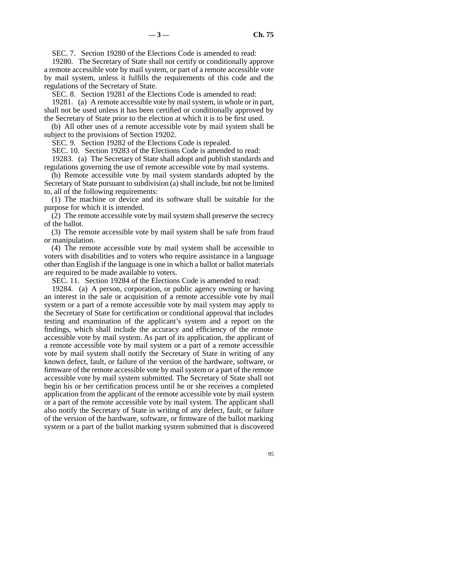SEC. 7. Section 19280 of the Elections Code is amended to read:

19280. The Secretary of State shall not certify or conditionally approve a remote accessible vote by mail system, or part of a remote accessible vote by mail system, unless it fulfills the requirements of this code and the regulations of the Secretary of State.

SEC. 8. Section 19281 of the Elections Code is amended to read:

19281. (a) A remote accessible vote by mail system, in whole or in part, shall not be used unless it has been certified or conditionally approved by the Secretary of State prior to the election at which it is to be first used.

(b) All other uses of a remote accessible vote by mail system shall be subject to the provisions of Section 19202.

SEC. 9. Section 19282 of the Elections Code is repealed.

SEC. 10. Section 19283 of the Elections Code is amended to read:

19283. (a) The Secretary of State shall adopt and publish standards and regulations governing the use of remote accessible vote by mail systems.

(b) Remote accessible vote by mail system standards adopted by the Secretary of State pursuant to subdivision (a) shall include, but not be limited to, all of the following requirements:

(1) The machine or device and its software shall be suitable for the purpose for which it is intended.

(2) The remote accessible vote by mail system shall preserve the secrecy of the ballot.

(3) The remote accessible vote by mail system shall be safe from fraud or manipulation.

(4) The remote accessible vote by mail system shall be accessible to voters with disabilities and to voters who require assistance in a language other than English if the language is one in which a ballot or ballot materials are required to be made available to voters.

SEC. 11. Section 19284 of the Elections Code is amended to read:

19284. (a) A person, corporation, or public agency owning or having an interest in the sale or acquisition of a remote accessible vote by mail system or a part of a remote accessible vote by mail system may apply to the Secretary of State for certification or conditional approval that includes testing and examination of the applicant's system and a report on the findings, which shall include the accuracy and efficiency of the remote accessible vote by mail system. As part of its application, the applicant of a remote accessible vote by mail system or a part of a remote accessible vote by mail system shall notify the Secretary of State in writing of any known defect, fault, or failure of the version of the hardware, software, or firmware of the remote accessible vote by mail system or a part of the remote accessible vote by mail system submitted. The Secretary of State shall not begin his or her certification process until he or she receives a completed application from the applicant of the remote accessible vote by mail system or a part of the remote accessible vote by mail system. The applicant shall also notify the Secretary of State in writing of any defect, fault, or failure of the version of the hardware, software, or firmware of the ballot marking system or a part of the ballot marking system submitted that is discovered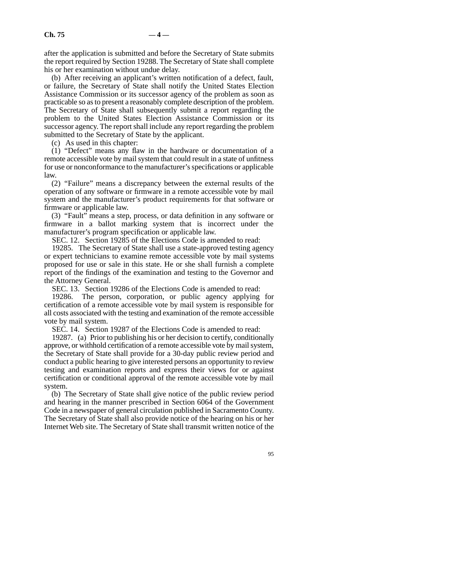after the application is submitted and before the Secretary of State submits the report required by Section 19288. The Secretary of State shall complete his or her examination without undue delay.

(b) After receiving an applicant's written notification of a defect, fault, or failure, the Secretary of State shall notify the United States Election Assistance Commission or its successor agency of the problem as soon as practicable so as to present a reasonably complete description of the problem. The Secretary of State shall subsequently submit a report regarding the problem to the United States Election Assistance Commission or its successor agency. The report shall include any report regarding the problem submitted to the Secretary of State by the applicant.

(c) As used in this chapter:

(1) "Defect" means any flaw in the hardware or documentation of a remote accessible vote by mail system that could result in a state of unfitness for use or nonconformance to the manufacturer's specifications or applicable law.

(2) "Failure" means a discrepancy between the external results of the operation of any software or firmware in a remote accessible vote by mail system and the manufacturer's product requirements for that software or firmware or applicable law.

(3) "Fault" means a step, process, or data definition in any software or firmware in a ballot marking system that is incorrect under the manufacturer's program specification or applicable law.

SEC. 12. Section 19285 of the Elections Code is amended to read:

19285. The Secretary of State shall use a state-approved testing agency or expert technicians to examine remote accessible vote by mail systems proposed for use or sale in this state. He or she shall furnish a complete report of the findings of the examination and testing to the Governor and the Attorney General.

SEC. 13. Section 19286 of the Elections Code is amended to read:

19286. The person, corporation, or public agency applying for certification of a remote accessible vote by mail system is responsible for all costs associated with the testing and examination of the remote accessible vote by mail system.

SEC. 14. Section 19287 of the Elections Code is amended to read:

19287. (a) Prior to publishing his or her decision to certify, conditionally approve, or withhold certification of a remote accessible vote by mail system, the Secretary of State shall provide for a 30-day public review period and conduct a public hearing to give interested persons an opportunity to review testing and examination reports and express their views for or against certification or conditional approval of the remote accessible vote by mail system.

(b) The Secretary of State shall give notice of the public review period and hearing in the manner prescribed in Section 6064 of the Government Code in a newspaper of general circulation published in Sacramento County. The Secretary of State shall also provide notice of the hearing on his or her Internet Web site. The Secretary of State shall transmit written notice of the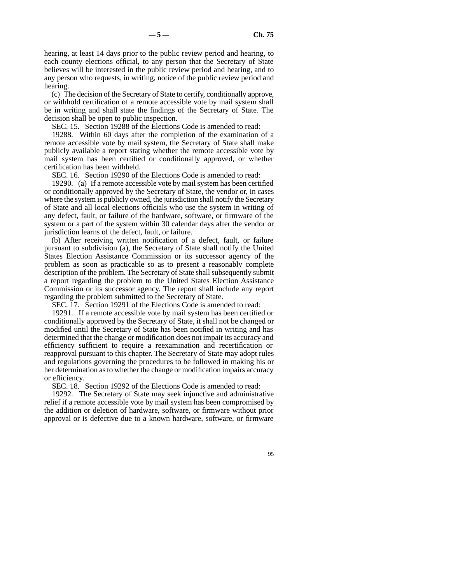hearing, at least 14 days prior to the public review period and hearing, to each county elections official, to any person that the Secretary of State believes will be interested in the public review period and hearing, and to any person who requests, in writing, notice of the public review period and hearing.

(c) The decision of the Secretary of State to certify, conditionally approve, or withhold certification of a remote accessible vote by mail system shall be in writing and shall state the findings of the Secretary of State. The decision shall be open to public inspection.

SEC. 15. Section 19288 of the Elections Code is amended to read:

19288. Within 60 days after the completion of the examination of a remote accessible vote by mail system, the Secretary of State shall make publicly available a report stating whether the remote accessible vote by mail system has been certified or conditionally approved, or whether certification has been withheld.

SEC. 16. Section 19290 of the Elections Code is amended to read:

19290. (a) If a remote accessible vote by mail system has been certified or conditionally approved by the Secretary of State, the vendor or, in cases where the system is publicly owned, the jurisdiction shall notify the Secretary of State and all local elections officials who use the system in writing of any defect, fault, or failure of the hardware, software, or firmware of the system or a part of the system within 30 calendar days after the vendor or jurisdiction learns of the defect, fault, or failure.

(b) After receiving written notification of a defect, fault, or failure pursuant to subdivision (a), the Secretary of State shall notify the United States Election Assistance Commission or its successor agency of the problem as soon as practicable so as to present a reasonably complete description of the problem. The Secretary of State shall subsequently submit a report regarding the problem to the United States Election Assistance Commission or its successor agency. The report shall include any report regarding the problem submitted to the Secretary of State.

SEC. 17. Section 19291 of the Elections Code is amended to read:

19291. If a remote accessible vote by mail system has been certified or conditionally approved by the Secretary of State, it shall not be changed or modified until the Secretary of State has been notified in writing and has determined that the change or modification does not impair its accuracy and efficiency sufficient to require a reexamination and recertification or reapproval pursuant to this chapter. The Secretary of State may adopt rules and regulations governing the procedures to be followed in making his or her determination as to whether the change or modification impairs accuracy or efficiency.

SEC. 18. Section 19292 of the Elections Code is amended to read:

19292. The Secretary of State may seek injunctive and administrative relief if a remote accessible vote by mail system has been compromised by the addition or deletion of hardware, software, or firmware without prior approval or is defective due to a known hardware, software, or firmware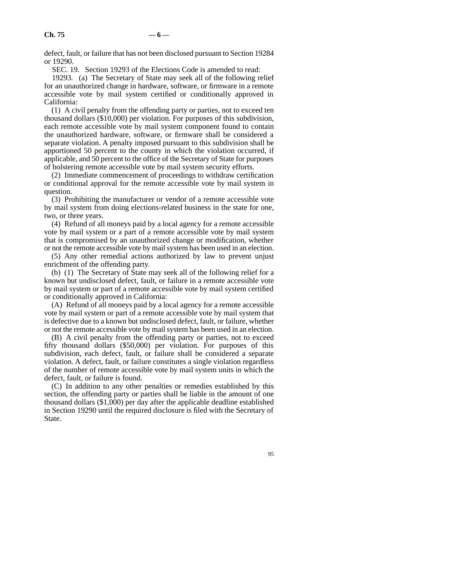defect, fault, or failure that has not been disclosed pursuant to Section 19284 or 19290.

SEC. 19. Section 19293 of the Elections Code is amended to read:

19293. (a) The Secretary of State may seek all of the following relief for an unauthorized change in hardware, software, or firmware in a remote accessible vote by mail system certified or conditionally approved in California:

(1) A civil penalty from the offending party or parties, not to exceed ten thousand dollars (\$10,000) per violation. For purposes of this subdivision, each remote accessible vote by mail system component found to contain the unauthorized hardware, software, or firmware shall be considered a separate violation. A penalty imposed pursuant to this subdivision shall be apportioned 50 percent to the county in which the violation occurred, if applicable, and 50 percent to the office of the Secretary of State for purposes of bolstering remote accessible vote by mail system security efforts.

(2) Immediate commencement of proceedings to withdraw certification or conditional approval for the remote accessible vote by mail system in question.

(3) Prohibiting the manufacturer or vendor of a remote accessible vote by mail system from doing elections-related business in the state for one, two, or three years.

(4) Refund of all moneys paid by a local agency for a remote accessible vote by mail system or a part of a remote accessible vote by mail system that is compromised by an unauthorized change or modification, whether or not the remote accessible vote by mail system has been used in an election.

(5) Any other remedial actions authorized by law to prevent unjust enrichment of the offending party.

(b) (1) The Secretary of State may seek all of the following relief for a known but undisclosed defect, fault, or failure in a remote accessible vote by mail system or part of a remote accessible vote by mail system certified or conditionally approved in California:

(A) Refund of all moneys paid by a local agency for a remote accessible vote by mail system or part of a remote accessible vote by mail system that is defective due to a known but undisclosed defect, fault, or failure, whether or not the remote accessible vote by mail system has been used in an election.

(B) A civil penalty from the offending party or parties, not to exceed fifty thousand dollars (\$50,000) per violation. For purposes of this subdivision, each defect, fault, or failure shall be considered a separate violation. A defect, fault, or failure constitutes a single violation regardless of the number of remote accessible vote by mail system units in which the defect, fault, or failure is found.

(C) In addition to any other penalties or remedies established by this section, the offending party or parties shall be liable in the amount of one thousand dollars (\$1,000) per day after the applicable deadline established in Section 19290 until the required disclosure is filed with the Secretary of State.